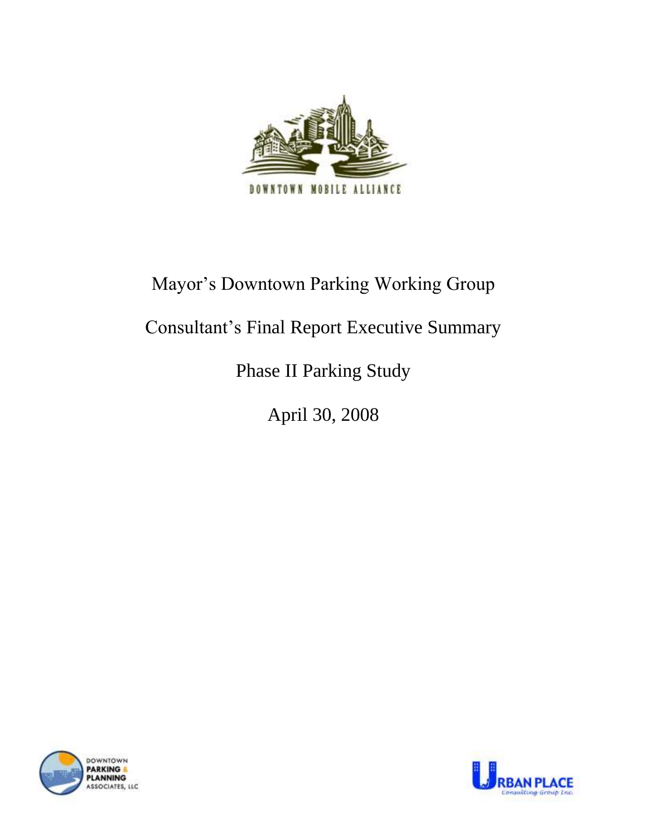

# Mayor"s Downtown Parking Working Group

# Consultant"s Final Report Executive Summary

# Phase II Parking Study

April 30, 2008



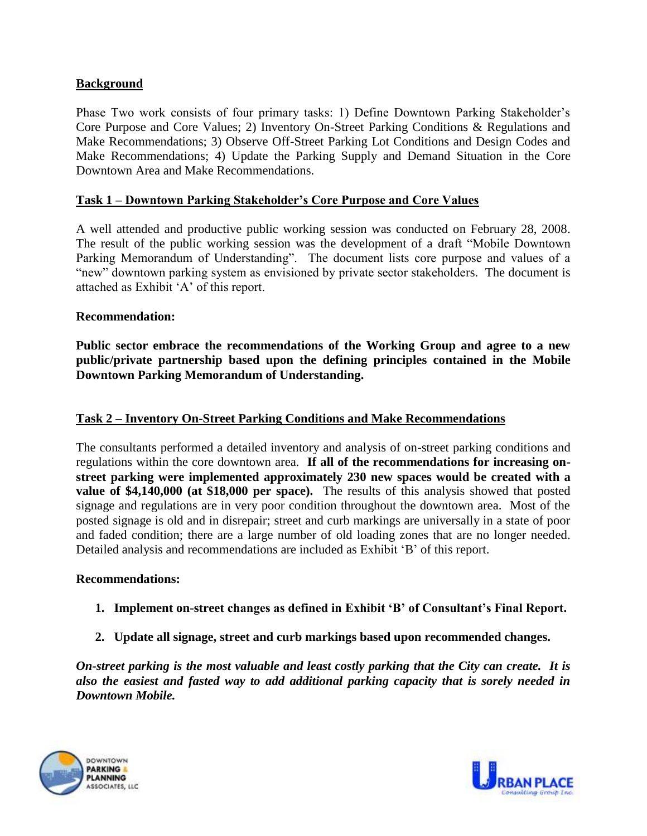# **Background**

Phase Two work consists of four primary tasks: 1) Define Downtown Parking Stakeholder's Core Purpose and Core Values; 2) Inventory On-Street Parking Conditions & Regulations and Make Recommendations; 3) Observe Off-Street Parking Lot Conditions and Design Codes and Make Recommendations; 4) Update the Parking Supply and Demand Situation in the Core Downtown Area and Make Recommendations.

### **Task 1 – Downtown Parking Stakeholder"s Core Purpose and Core Values**

A well attended and productive public working session was conducted on February 28, 2008. The result of the public working session was the development of a draft "Mobile Downtown Parking Memorandum of Understanding". The document lists core purpose and values of a "new" downtown parking system as envisioned by private sector stakeholders. The document is attached as Exhibit "A" of this report.

#### **Recommendation:**

**Public sector embrace the recommendations of the Working Group and agree to a new public/private partnership based upon the defining principles contained in the Mobile Downtown Parking Memorandum of Understanding.**

#### **Task 2 – Inventory On-Street Parking Conditions and Make Recommendations**

The consultants performed a detailed inventory and analysis of on-street parking conditions and regulations within the core downtown area. **If all of the recommendations for increasing onstreet parking were implemented approximately 230 new spaces would be created with a value of \$4,140,000 (at \$18,000 per space).** The results of this analysis showed that posted signage and regulations are in very poor condition throughout the downtown area. Most of the posted signage is old and in disrepair; street and curb markings are universally in a state of poor and faded condition; there are a large number of old loading zones that are no longer needed. Detailed analysis and recommendations are included as Exhibit "B" of this report.

#### **Recommendations:**

- **1. Implement on-street changes as defined in Exhibit "B" of Consultant"s Final Report.**
- **2. Update all signage, street and curb markings based upon recommended changes.**

*On-street parking is the most valuable and least costly parking that the City can create. It is also the easiest and fasted way to add additional parking capacity that is sorely needed in Downtown Mobile.* 



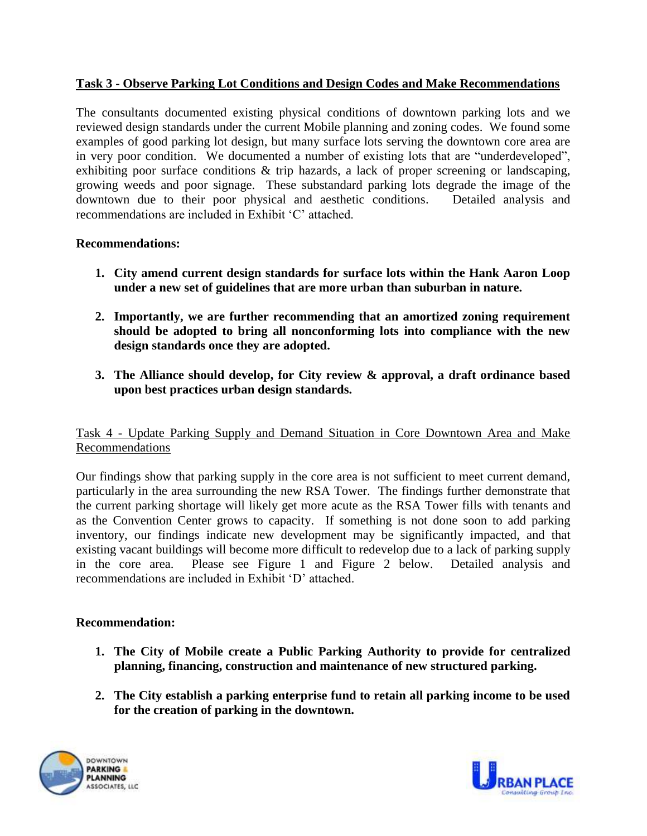# **Task 3 - Observe Parking Lot Conditions and Design Codes and Make Recommendations**

The consultants documented existing physical conditions of downtown parking lots and we reviewed design standards under the current Mobile planning and zoning codes. We found some examples of good parking lot design, but many surface lots serving the downtown core area are in very poor condition. We documented a number of existing lots that are "underdeveloped", exhibiting poor surface conditions & trip hazards, a lack of proper screening or landscaping, growing weeds and poor signage. These substandard parking lots degrade the image of the downtown due to their poor physical and aesthetic conditions. Detailed analysis and recommendations are included in Exhibit "C" attached.

# **Recommendations:**

- **1. City amend current design standards for surface lots within the Hank Aaron Loop under a new set of guidelines that are more urban than suburban in nature.**
- **2. Importantly, we are further recommending that an amortized zoning requirement should be adopted to bring all nonconforming lots into compliance with the new design standards once they are adopted.**
- **3. The Alliance should develop, for City review & approval, a draft ordinance based upon best practices urban design standards.**

# Task 4 - Update Parking Supply and Demand Situation in Core Downtown Area and Make Recommendations

Our findings show that parking supply in the core area is not sufficient to meet current demand, particularly in the area surrounding the new RSA Tower. The findings further demonstrate that the current parking shortage will likely get more acute as the RSA Tower fills with tenants and as the Convention Center grows to capacity. If something is not done soon to add parking inventory, our findings indicate new development may be significantly impacted, and that existing vacant buildings will become more difficult to redevelop due to a lack of parking supply in the core area. Please see Figure 1 and Figure 2 below. Detailed analysis and recommendations are included in Exhibit "D" attached.

### **Recommendation:**

- **1. The City of Mobile create a Public Parking Authority to provide for centralized planning, financing, construction and maintenance of new structured parking.**
- **2. The City establish a parking enterprise fund to retain all parking income to be used for the creation of parking in the downtown.**



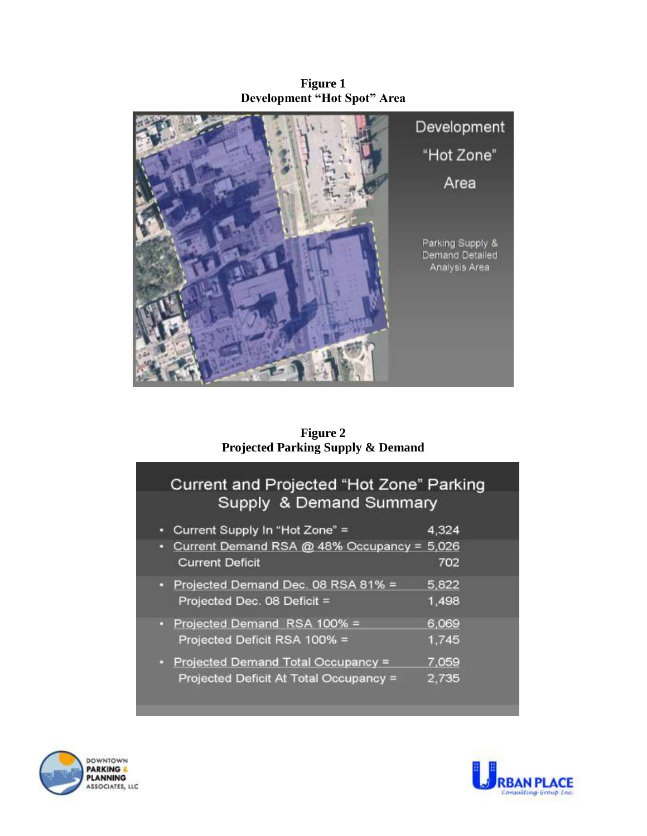**Figure 1 Development "Hot Spot" Area** 



**Figure 2 Projected Parking Supply & Demand**

# Current and Projected "Hot Zone" Parking Supply & Demand Summary

| o | Current Supply In "Hot Zone" =                                       | 4,324 |
|---|----------------------------------------------------------------------|-------|
|   | Current Demand RSA @ 48% Occupancy = 5,026<br><b>Current Deficit</b> | 702   |
|   |                                                                      |       |
|   | Projected Demand Dec. 08 RSA 81% =                                   | 5,822 |
|   | Projected Dec. 08 Deficit =                                          | 1,498 |
|   | • Projected Demand RSA 100% =                                        | 6,069 |
|   | Projected Deficit RSA 100% =                                         | 1,745 |
|   | Projected Demand Total Occupancy =                                   | 7,059 |
|   | Projected Deficit At Total Occupancy =                               | 2.735 |